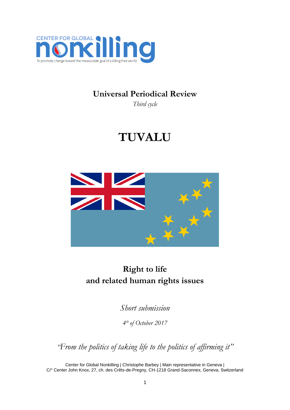

### **Universal Periodical Review**

*Third cycle*

# **TUVALU**



## **Right to life and related human rights issues**

*Short submission*

*4 th of October 2017*

*"From the politics of taking life to the politics of affirming it"*

Center for Global Nonkilling | Christophe Barbey | Main representative in Geneva | C/° Center John Knox, 27, ch. des Crêts-de-Pregny, CH-1218 Grand-Saconnex, Geneva, Switzerland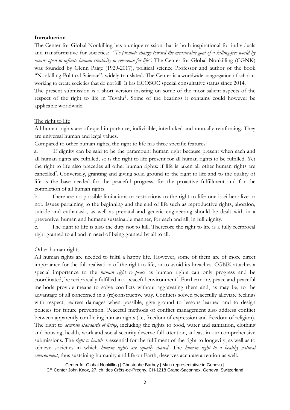#### **Introduction**

The Center for Global Nonkilling has a unique mission that is both inspirational for individuals and transformative for societies: *"To promote change toward the measurable goal of a killing-free world by means open to infinite human creativity in reverence for life".* The Center for Global Nonkilling (CGNK) was founded by Glenn Paige (1929-2017), political science Professor and author of the book "Nonkilling Political Science", widely translated. The Center is a worldwide congregation of scholars working to create societies that do not kill. It has ECOSOC special consultative status since 2014.

The present submission is a short version insisting on some of the most salient aspects of the respect of the right to life in Tuvalu<sup>1</sup>. Some of the bearings it contains could however be applicable worldwide.

#### The right to life

All human rights are of equal importance, indivisible, interlinked and mutually reinforcing. They are universal human and legal values.

Compared to other human rights, the right to life has three specific features:

a. If dignity can be said to be the paramount human right because present when each and all human rights are fulfilled, so is the right to life present for all human rights to be fulfilled. Yet the right to life also precedes all other human rights: if life is taken all other human rights are cancelled<sup>2</sup>. Conversely, granting and giving solid ground to the right to life and to the quality of life is the base needed for the peaceful progress, for the proactive fulfillment and for the completion of all human rights.

b. There are no possible limitations or restrictions to the right to life: one is either alive or not. Issues pertaining to the beginning and the end of life such as reproductive rights, abortion, suicide and euthanasia, as well as prenatal and genetic engineering should be dealt with in a preventive, human and humane sustainable manner, for each and all, in full dignity.

c. The right to life is also the duty not to kill. Therefore the right to life is a fully reciprocal right granted to all and in need of being granted by all to all.

#### Other human rights

All human rights are needed to fulfil a happy life. However, some of them are of more direct importance for the full realisation of the right to life, or to avoid its breaches. CGNK attaches a special importance to the *human right to peace* as human rights can only progress and be coordinated, be reciprocally fulfilled in a peaceful environment<sup>3</sup>. Furthermore, peace and peaceful methods provide means to solve conflicts without aggravating them and, as may be, to the advantage of all concerned in a (re)constructive way. Conflicts solved peacefully alleviate feelings with respect, redress damages when possible, give ground to lessons learned and to design policies for future prevention. Peaceful methods of conflict management also address conflict between apparently conflicting human rights (i.e, freedom of expression and freedom of religion). The right to *accurate standards of living*, including the rights to food, water and sanitation, clothing and housing, health, work and social security deserve full attention, at least in our comprehensive submissions. The *right to health* is essential for the fulfilment of the right to longevity, as well as to achieve societies in which *human rights are equally shared*. The *human right to a healthy natural environment*, thus sustaining humanity and life on Earth, deserves accurate attention as well.

Center for Global Nonkilling | Christophe Barbey | Main representative in Geneva | C/° Center John Knox, 27, ch. des Crêts-de-Pregny, CH-1218 Grand-Saconnex, Geneva, Switzerland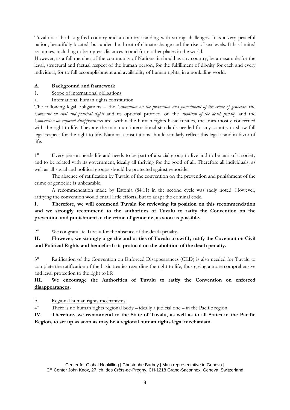Tuvalu is a both a gifted country and a country standing with strong challenges. It is a very peaceful nation, beautifully located, but under the threat of climate change and the rise of sea levels. It has limited resources, including to bear great distances to and from other places in the world.

However, as a full member of the community of Nations, it should as any country, be an example for the legal, structural and factual respect of the human person, for the fulfillment of dignity for each and every individual, for to full accomplishment and availability of human rights, in a nonkilling world.

#### **A. Background and framework**

#### 1. Scope of international obligations

a. International human rights constitution

The following legal obligations – the *Convention on the prevention and punishment of the crime of genocide,* the *Covenant on civil and political rights* and its optional protocol on the *abolition of the death penalty* and the *Convention on enforced disappearances* are, within the human rights basic treaties, the ones mostly concerned with the right to life. They are the minimum international standards needed for any country to show full legal respect for the right to life. National constitutions should similarly reflect this legal stand in favor of life.

1° Every person needs life and needs to be part of a social group to live and to be part of a society and to be related with its government, ideally all thriving for the good of all. Therefore all individuals, as well as all social and political groups should be protected against genocide.

The absence of ratification by Tuvalu of the convention on the prevention and punishment of the crime of genocide is unbearable.

A recommendation made by Estonia (84.11) in the second cycle was sadly noted. However, ratifying the convention would entail little efforts, but to adapt the criminal code.

**I. Therefore, we will commend Tuvalu for reviewing its position on this recommendation and we strongly recommend to the authorities of Tuvalu to ratify the Convention on the prevention and punishment of the crime of genocide, as soon as possible.** 

2° We congratulate Tuvalu for the absence of the death penalty.

**II. However, we strongly urge the authorities of Tuvalu to swiftly ratify the Covenant on Civil and Political Rights and henceforth its protocol on the abolition of the death penalty.**

3° Ratification of the Convention on Enforced Disappearances (CED) is also needed for Tuvalu to complete the ratification of the basic treaties regarding the right to life, thus giving a more comprehensive and legal protection to the right to life.

#### **III. We encourage the Authorities of Tuvalu to ratify the Convention on enforced disappearances.**

b. Regional human rights mechanisms

4° There is no human rights regional body – ideally a judicial one – in the Pacific region.

**IV. Therefore, we recommend to the State of Tuvalu, as well as to all States in the Pacific Region, to set up as soon as may be a regional human rights legal mechanism.**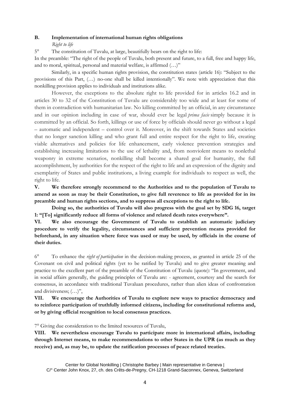#### **B. Implementation of international human rights obligations**

*Right to life*

5° The constitution of Tuvalu, at large, beautifully bears on the right to life:

In the preamble: "The right of the people of Tuvalu, both present and future, to a full, free and happy life, and to moral, spiritual, personal and material welfare, is affirmed (…)"

Similarly, in a specific human rights provision, the constitution states (article 16): "Subject to the provisions of this Part, (…) no-one shall be killed intentionally". We note with appreciation that this nonkilling provision applies to individuals and institutions alike.

However, the exceptions to the absolute right to life provided for in articles 16.2 and in articles 30 to 32 of the Constitution of Tuvalu are considerably too wide and at least for some of them in contradiction with humanitarian law. No killing committed by an official, in any circumstance and in our opinion including in case of war, should ever be legal *prima facie* simply because it is committed by an official. So forth, killings or use of force by officials should never go without a legal – automatic and independent – control over it. Moreover, in the shift towards States and societies that no longer sanction killing and who grant full and entire respect for the right to life, creating viable alternatives and policies for life enhancement, early violence prevention strategies and establishing increasing limitations to the use of lethality and, from nonviolent means to nonlethal weaponry in extreme scenarios, nonkilling shall become a shared goal for humanity, the full accomplishment, by authorities for the respect of the right to life and an expression of the dignity and exemplarity of States and public institutions, a living example for individuals to respect as well, the right to life.

**V. We therefore strongly recommend to the Authorities and to the population of Tuvalu to amend as soon as may be their Constitution, to give full reverence to life as provided for in its preamble and human rights sections, and to suppress all exceptions to the right to life.** 

**Doing so, the authorities of Tuvalu will also progress with the goal set by SDG 16, target 1: "[To] significantly reduce all forms of violence and related death rates everywhere".**

**VI. We also encourage the Government of Tuvalu to establish an automatic judiciary procedure to verify the legality, circumstances and sufficient prevention means provided for beforehand, in any situation where force was used or may be used, by officials in the course of their duties.** 

6° To enhance the *right of participation* in the decision-making process, as granted in article 25 of the Covenant on civil and political rights (yet to be ratified by Tuvalu) and to give greater meaning and practice to the excellent part of the preamble of the Constitution of Tuvalu (quote): "In government, and in social affairs generally, the guiding principles of Tuvalu are: - agreement, courtesy and the search for consensus, in accordance with traditional Tuvaluan procedures, rather than alien ideas of confrontation and divisiveness; (…)",

**VII. We encourage the Authorities of Tuvalu to explore new ways to practice democracy and to reinforce participation of truthfully informed citizens, including for constitutional reforms and, or by giving official recognition to local consensus practices.**

7° Giving due consideration to the limited resources of Tuvalu,

**VIII. We nevertheless encourage Tuvalu to participate more in international affairs, including through Internet means, to make recommendations to other States in the UPR (as much as they receive) and, as may be, to update the ratification processes of peace related treaties.**

Center for Global Nonkilling | Christophe Barbey | Main representative in Geneva | C/° Center John Knox, 27, ch. des Crêts-de-Pregny, CH-1218 Grand-Saconnex, Geneva, Switzerland